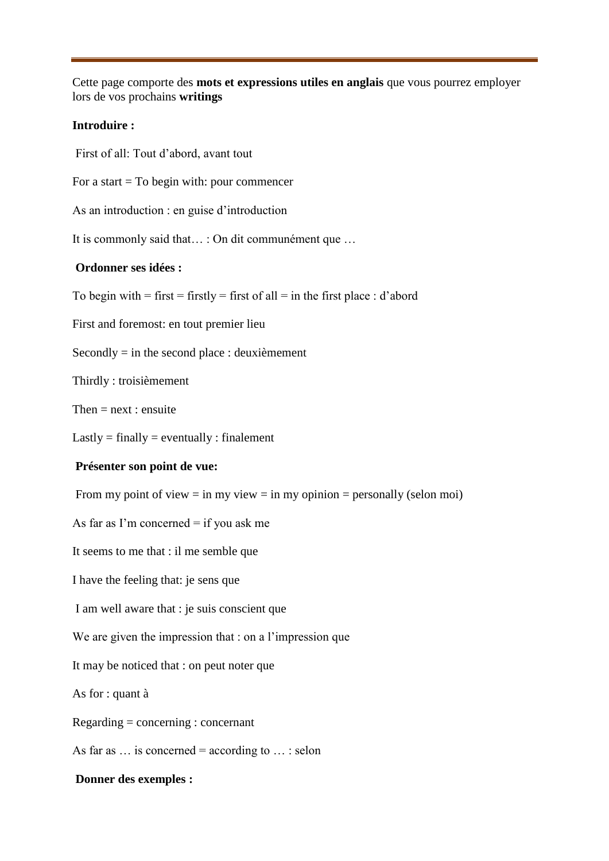Cette page comporte des **mots et expressions utiles en anglais** que vous pourrez employer lors de vos prochains **writings**

## **Introduire :**

First of all: Tout d'abord, avant tout

For a start  $=$  To begin with: pour commencer

As an introduction : en guise d'introduction

It is commonly said that… : On dit communément que …

## **Ordonner ses idées :**

To begin with  $=$  first  $=$  firstly  $=$  first of all  $=$  in the first place : d'abord

First and foremost: en tout premier lieu

Secondly  $=$  in the second place : deuxièmement

Thirdly : troisièmement

Then  $=$  next : ensuite

 $Lastly = finally = eventually : finalement$ 

#### **Présenter son point de vue:**

From my point of view  $=$  in my view  $=$  in my opinion  $=$  personally (selon moi)

As far as I'm concerned  $=$  if you ask me

It seems to me that : il me semble que

I have the feeling that: je sens que

I am well aware that : je suis conscient que

We are given the impression that : on a l'impression que

It may be noticed that : on peut noter que

As for : quant à

Regarding = concerning : concernant

As far as  $\ldots$  is concerned = according to  $\ldots$ : selon

### **Donner des exemples :**